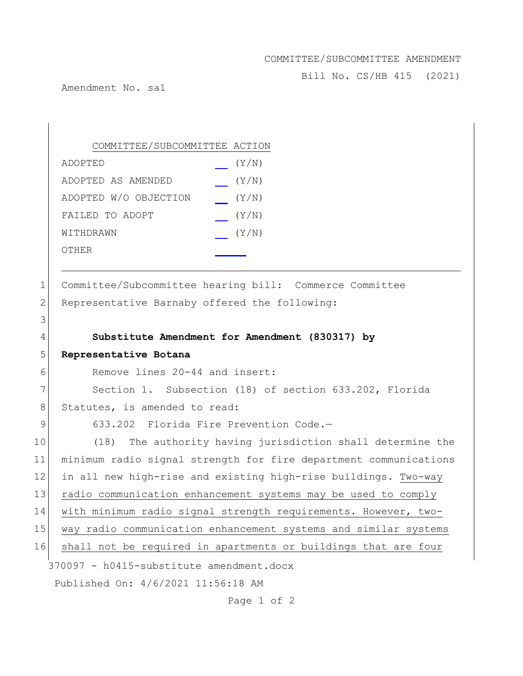## COMMITTEE/SUBCOMMITTEE AMENDMENT

Bill No. CS/HB 415 (2021)

Amendment No. sa1

## COMMITTEE/SUBCOMMITTEE ACTION ADOPTED (Y/N) ADOPTED AS AMENDED (Y/N) ADOPTED W/O OBJECTION (Y/N) FAILED TO ADOPT (Y/N) WITHDRAWN  $(Y/N)$ OTHER

1 Committee/Subcommittee hearing bill: Commerce Committee 2 Representative Barnaby offered the following:

## 3 4 **Substitute Amendment for Amendment (830317) by**

370097 - h0415-substitute amendment.docx Published On: 4/6/2021 11:56:18 AM 5 **Representative Botana** 6 Remove lines 20-44 and insert: 7 Section 1. Subsection (18) of section 633.202, Florida 8 Statutes, is amended to read: 9 633.202 Florida Fire Prevention Code.-10 (18) The authority having jurisdiction shall determine the 11 minimum radio signal strength for fire department communications 12 in all new high-rise and existing high-rise buildings. Two-way 13 radio communication enhancement systems may be used to comply 14 with minimum radio signal strength requirements. However, two-15 way radio communication enhancement systems and similar systems 16 shall not be required in apartments or buildings that are four

Page 1 of 2